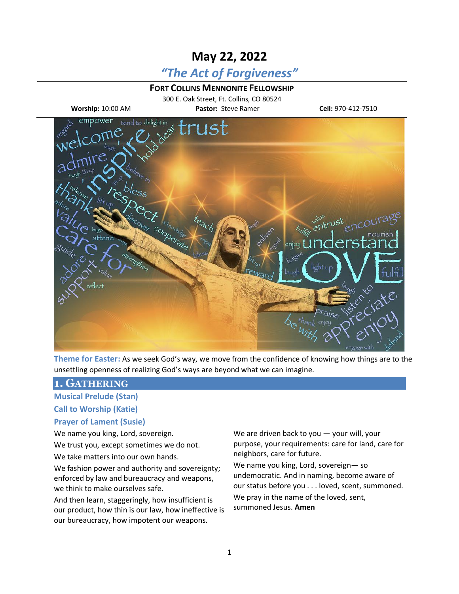# **May 22, 2022**

# *"The Act of Forgiveness"*

### **FORT COLLINS MENNONITE FELLOWSHIP**

300 E. Oak Street, Ft. Collins, CO 80524 **Worship:** 10:00 AM **Pastor:** Steve Ramer **Cell:** 970-412-7510



**Theme for Easter:** As we seek God's way, we move from the confidence of knowing how things are to the unsettling openness of realizing God's ways are beyond what we can imagine.

### **1. GATHERING**

**Musical Prelude (Stan)**

**Call to Worship (Katie)**

#### **Prayer of Lament (Susie)**

We name you king, Lord, sovereign.

We trust you, except sometimes we do not.

We take matters into our own hands.

We fashion power and authority and sovereignty; enforced by law and bureaucracy and weapons, we think to make ourselves safe.

And then learn, staggeringly, how insufficient is our product, how thin is our law, how ineffective is our bureaucracy, how impotent our weapons.

We are driven back to you - your will, your purpose, your requirements: care for land, care for neighbors, care for future.

We name you king, Lord, sovereign— so undemocratic. And in naming, become aware of our status before you . . . loved, scent, summoned. We pray in the name of the loved, sent, summoned Jesus. **Amen**